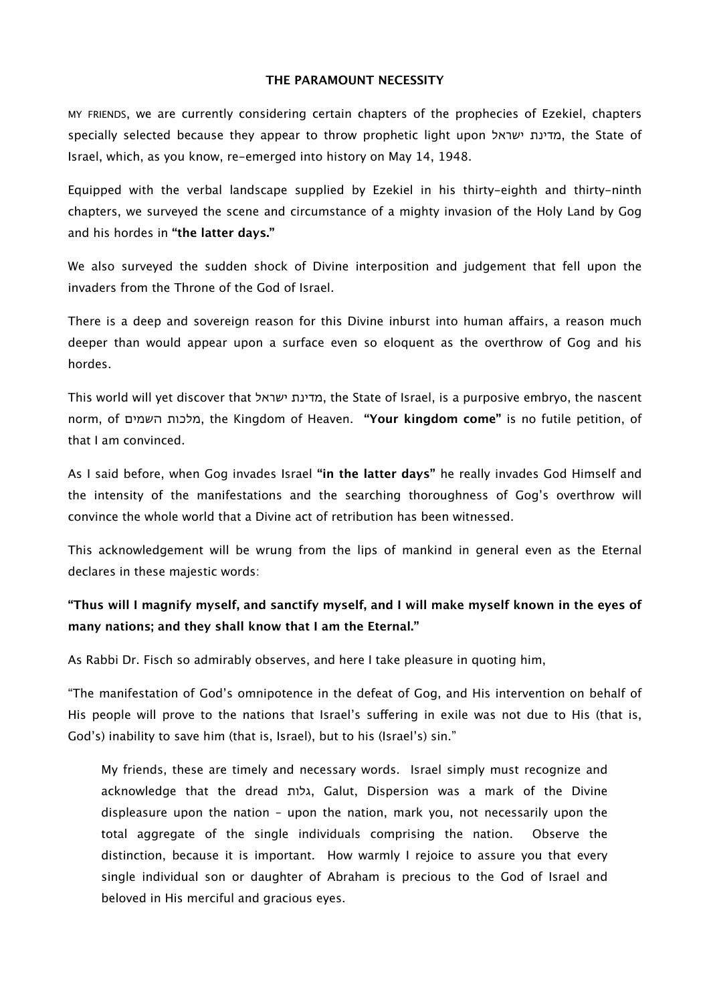#### **THE PARAMOUNT NECESSITY**

MY FRIENDS, we are currently considering certain chapters of the prophecies of Ezekiel, chapters specially selected because they appear to throw prophetic light upon ישראל מדינת, the State of Israel, which, as you know, re-emerged into history on May 14, 1948.

Equipped with the verbal landscape supplied by Ezekiel in his thirty-eighth and thirty-ninth chapters, we surveyed the scene and circumstance of a mighty invasion of the Holy Land by Gog and his hordes in **"the latter days."**

We also surveyed the sudden shock of Divine interposition and judgement that fell upon the invaders from the Throne of the God of Israel.

There is a deep and sovereign reason for this Divine inburst into human affairs, a reason much deeper than would appear upon a surface even so eloquent as the overthrow of Gog and his hordes.

This world will yet discover that ישראל מדינת, the State of Israel, is a purposive embryo, the nascent norm, of השמים מלכות, the Kingdom of Heaven. **"Your kingdom come"** is no futile petition, of that I am convinced.

As I said before, when Gog invades Israel **"in the latter days"** he really invades God Himself and the intensity of the manifestations and the searching thoroughness of Gog's overthrow will convince the whole world that a Divine act of retribution has been witnessed.

This acknowledgement will be wrung from the lips of mankind in general even as the Eternal declares in these majestic words:

# **"Thus will I magnify myself, and sanctify myself, and I will make myself known in the eyes of many nations; and they shall know that I am the Eternal."**

As Rabbi Dr. Fisch so admirably observes, and here I take pleasure in quoting him,

"The manifestation of God's omnipotence in the defeat of Gog, and His intervention on behalf of His people will prove to the nations that Israel's sufering in exile was not due to His (that is, God's) inability to save him (that is, Israel), but to his (Israel's) sin."

My friends, these are timely and necessary words. Israel simply must recognize and acknowledge that the dread גלות, Galut, Dispersion was a mark of the Divine displeasure upon the nation – upon the nation, mark you, not necessarily upon the total aggregate of the single individuals comprising the nation. Observe the distinction, because it is important. How warmly I rejoice to assure you that every single individual son or daughter of Abraham is precious to the God of Israel and beloved in His merciful and gracious eyes.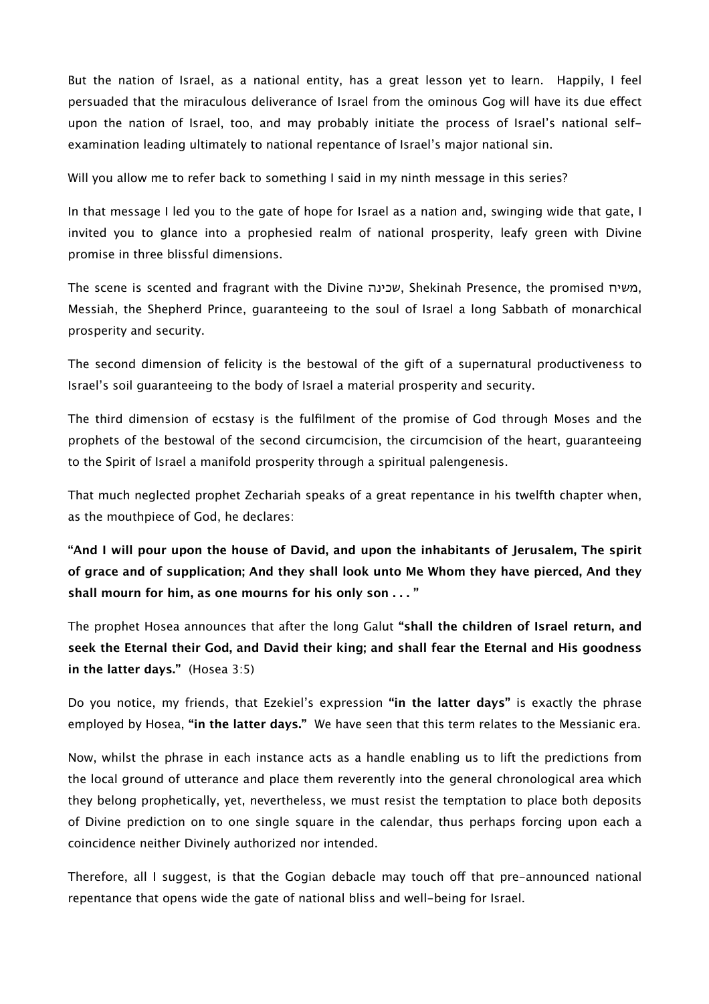But the nation of Israel, as a national entity, has a great lesson yet to learn. Happily, I feel persuaded that the miraculous deliverance of Israel from the ominous Gog will have its due efect upon the nation of Israel, too, and may probably initiate the process of Israel's national selfexamination leading ultimately to national repentance of Israel's major national sin.

Will you allow me to refer back to something I said in my ninth message in this series?

In that message I led you to the gate of hope for Israel as a nation and, swinging wide that gate, I invited you to glance into a prophesied realm of national prosperity, leafy green with Divine promise in three blissful dimensions.

The scene is scented and fragrant with the Divine שכינה, Shekinah Presence, the promised משיח, Messiah, the Shepherd Prince, guaranteeing to the soul of Israel a long Sabbath of monarchical prosperity and security.

The second dimension of felicity is the bestowal of the gift of a supernatural productiveness to Israel's soil guaranteeing to the body of Israel a material prosperity and security.

The third dimension of ecstasy is the fulfilment of the promise of God through Moses and the prophets of the bestowal of the second circumcision, the circumcision of the heart, guaranteeing to the Spirit of Israel a manifold prosperity through a spiritual palengenesis.

That much neglected prophet Zechariah speaks of a great repentance in his twelfth chapter when, as the mouthpiece of God, he declares:

**"And I will pour upon the house of David, and upon the inhabitants of Jerusalem, The spirit of grace and of supplication; And they shall look unto Me Whom they have pierced, And they shall mourn for him, as one mourns for his only son . . . "**

The prophet Hosea announces that after the long Galut **"shall the children of Israel return, and seek the Eternal their God, and David their king; and shall fear the Eternal and His goodness in the latter days."** (Hosea 3:5)

Do you notice, my friends, that Ezekiel's expression **"in the latter days"** is exactly the phrase employed by Hosea, **"in the latter days."** We have seen that this term relates to the Messianic era.

Now, whilst the phrase in each instance acts as a handle enabling us to lift the predictions from the local ground of utterance and place them reverently into the general chronological area which they belong prophetically, yet, nevertheless, we must resist the temptation to place both deposits of Divine prediction on to one single square in the calendar, thus perhaps forcing upon each a coincidence neither Divinely authorized nor intended.

Therefore, all I suggest, is that the Gogian debacle may touch off that pre-announced national repentance that opens wide the gate of national bliss and well-being for Israel.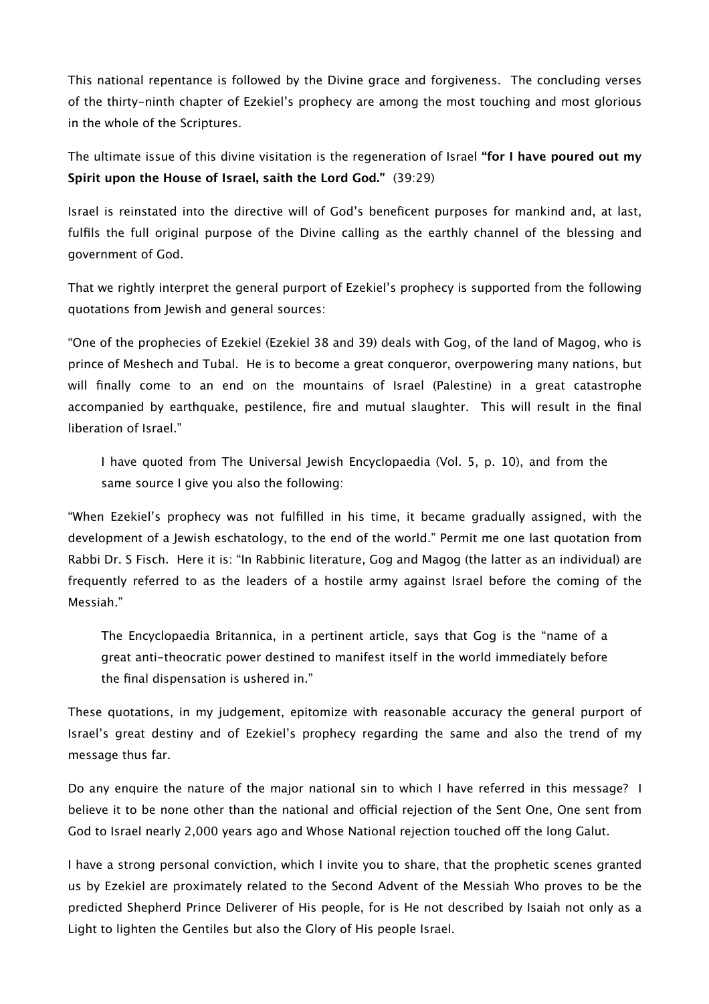This national repentance is followed by the Divine grace and forgiveness. The concluding verses of the thirty-ninth chapter of Ezekiel's prophecy are among the most touching and most glorious in the whole of the Scriptures.

The ultimate issue of this divine visitation is the regeneration of Israel **"for I have poured out my Spirit upon the House of Israel, saith the Lord God."** (39:29)

Israel is reinstated into the directive will of God's beneficent purposes for mankind and, at last, fulfils the full original purpose of the Divine calling as the earthly channel of the blessing and government of God.

That we rightly interpret the general purport of Ezekiel's prophecy is supported from the following quotations from Jewish and general sources:

"One of the prophecies of Ezekiel (Ezekiel 38 and 39) deals with Gog, of the land of Magog, who is prince of Meshech and Tubal. He is to become a great conqueror, overpowering many nations, but will finally come to an end on the mountains of Israel (Palestine) in a great catastrophe accompanied by earthquake, pestilence, fire and mutual slaughter. This will result in the final liberation of Israel."

I have quoted from The Universal Jewish Encyclopaedia (Vol. 5, p. 10), and from the same source I give you also the following:

"When Ezekiel's prophecy was not fulfilled in his time, it became gradually assigned, with the development of a Jewish eschatology, to the end of the world." Permit me one last quotation from Rabbi Dr. S Fisch. Here it is: "In Rabbinic literature, Gog and Magog (the latter as an individual) are frequently referred to as the leaders of a hostile army against Israel before the coming of the Messiah."

The Encyclopaedia Britannica, in a pertinent article, says that Gog is the "name of a great anti-theocratic power destined to manifest itself in the world immediately before the final dispensation is ushered in."

These quotations, in my judgement, epitomize with reasonable accuracy the general purport of Israel's great destiny and of Ezekiel's prophecy regarding the same and also the trend of my message thus far.

Do any enquire the nature of the major national sin to which I have referred in this message? I believe it to be none other than the national and official rejection of the Sent One, One sent from God to Israel nearly 2,000 years ago and Whose National rejection touched off the long Galut.

I have a strong personal conviction, which I invite you to share, that the prophetic scenes granted us by Ezekiel are proximately related to the Second Advent of the Messiah Who proves to be the predicted Shepherd Prince Deliverer of His people, for is He not described by Isaiah not only as a Light to lighten the Gentiles but also the Glory of His people Israel.